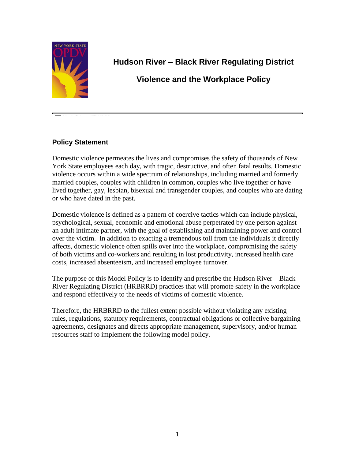

# **Hudson River – Black River Regulating District**

# **Violence and the Workplace Policy**

# **Policy Statement**

Domestic violence permeates the lives and compromises the safety of thousands of New York State employees each day, with tragic, destructive, and often fatal results. Domestic violence occurs within a wide spectrum of relationships, including married and formerly married couples, couples with children in common, couples who live together or have lived together, gay, lesbian, bisexual and transgender couples, and couples who are dating or who have dated in the past.

Domestic violence is defined as a pattern of coercive tactics which can include physical, psychological, sexual, economic and emotional abuse perpetrated by one person against an adult intimate partner, with the goal of establishing and maintaining power and control over the victim. In addition to exacting a tremendous toll from the individuals it directly affects, domestic violence often spills over into the workplace, compromising the safety of both victims and co-workers and resulting in lost productivity, increased health care costs, increased absenteeism, and increased employee turnover.

The purpose of this Model Policy is to identify and prescribe the Hudson River – Black River Regulating District (HRBRRD) practices that will promote safety in the workplace and respond effectively to the needs of victims of domestic violence.

Therefore, the HRBRRD to the fullest extent possible without violating any existing rules, regulations, statutory requirements, contractual obligations or collective bargaining agreements, designates and directs appropriate management, supervisory, and/or human resources staff to implement the following model policy.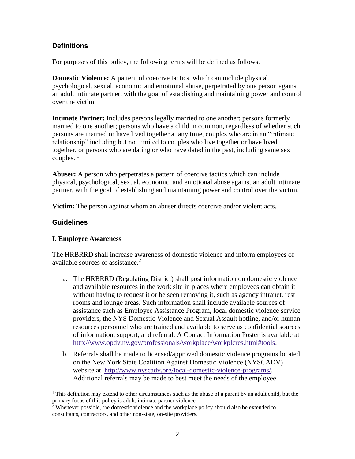## **Definitions**

For purposes of this policy, the following terms will be defined as follows.

**Domestic Violence:** A pattern of coercive tactics, which can include physical, psychological, sexual, economic and emotional abuse, perpetrated by one person against an adult intimate partner, with the goal of establishing and maintaining power and control over the victim.

**Intimate Partner:** Includes persons legally married to one another; persons formerly married to one another; persons who have a child in common, regardless of whether such persons are married or have lived together at any time, couples who are in an "intimate relationship" including but not limited to couples who live together or have lived together, or persons who are dating or who have dated in the past, including same sex couples.  $<sup>1</sup>$ </sup>

**Abuser:** A person who perpetrates a pattern of coercive tactics which can include physical, psychological, sexual, economic, and emotional abuse against an adult intimate partner, with the goal of establishing and maintaining power and control over the victim.

**Victim:** The person against whom an abuser directs coercive and/or violent acts.

# **Guidelines**

 $\overline{a}$ 

## **I. Employee Awareness**

The HRBRRD shall increase awareness of domestic violence and inform employees of available sources of assistance. $2$ 

- a. The HRBRRD (Regulating District) shall post information on domestic violence and available resources in the work site in places where employees can obtain it without having to request it or be seen removing it, such as agency intranet, rest rooms and lounge areas. Such information shall include available sources of assistance such as Employee Assistance Program, local domestic violence service providers, the NYS Domestic Violence and Sexual Assault hotline, and/or human resources personnel who are trained and available to serve as confidential sources of information, support, and referral. A Contact Information Poster is available at [http://www.opdv.ny.gov/professionals/workplace/workplcres.html#tools.](http://www.opdv.ny.gov/professionals/workplace/workplcres.html#tools)
- b. Referrals shall be made to licensed/approved domestic violence programs located on the New York State Coalition Against Domestic Violence (NYSCADV) website at [http://www.nyscadv.org/local-domestic-violence-programs/.](http://www.nyscadv.org/local-domestic-violence-programs/) Additional referrals may be made to best meet the needs of the employee.

<sup>&</sup>lt;sup>1</sup> This definition may extend to other circumstances such as the abuse of a parent by an adult child, but the primary focus of this policy is adult, intimate partner violence.

 $2$  Whenever possible, the domestic violence and the workplace policy should also be extended to consultants, contractors, and other non-state, on-site providers.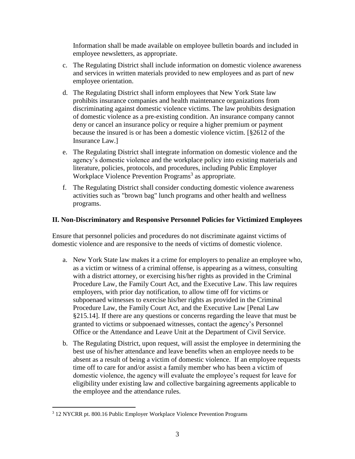Information shall be made available on employee bulletin boards and included in employee newsletters, as appropriate.

- c. The Regulating District shall include information on domestic violence awareness and services in written materials provided to new employees and as part of new employee orientation.
- d. The Regulating District shall inform employees that New York State law prohibits insurance companies and health maintenance organizations from discriminating against domestic violence victims. The law prohibits designation of domestic violence as a pre-existing condition. An insurance company cannot deny or cancel an insurance policy or require a higher premium or payment because the insured is or has been a domestic violence victim. [§2612 of the Insurance Law.]
- e. The Regulating District shall integrate information on domestic violence and the agency's domestic violence and the workplace policy into existing materials and literature, policies, protocols, and procedures, including Public Employer Workplace Violence Prevention Programs<sup>3</sup> as appropriate.
- f. The Regulating District shall consider conducting domestic violence awareness activities such as "brown bag" lunch programs and other health and wellness programs.

### **II. Non-Discriminatory and Responsive Personnel Policies for Victimized Employees**

Ensure that personnel policies and procedures do not discriminate against victims of domestic violence and are responsive to the needs of victims of domestic violence.

- a. New York State law makes it a crime for employers to penalize an employee who, as a victim or witness of a criminal offense, is appearing as a witness, consulting with a district attorney, or exercising his/her rights as provided in the Criminal Procedure Law, the Family Court Act, and the Executive Law. This law requires employers, with prior day notification, to allow time off for victims or subpoenaed witnesses to exercise his/her rights as provided in the Criminal Procedure Law, the Family Court Act, and the Executive Law [Penal Law §215.14]. If there are any questions or concerns regarding the leave that must be granted to victims or subpoenaed witnesses, contact the agency's Personnel Office or the Attendance and Leave Unit at the Department of Civil Service.
- b. The Regulating District, upon request, will assist the employee in determining the best use of his/her attendance and leave benefits when an employee needs to be absent as a result of being a victim of domestic violence. If an employee requests time off to care for and/or assist a family member who has been a victim of domestic violence, the agency will evaluate the employee's request for leave for eligibility under existing law and collective bargaining agreements applicable to the employee and the attendance rules.

 $\overline{a}$ 

<sup>3</sup> 12 NYCRR pt. 800.16 Public Employer Workplace Violence Prevention Programs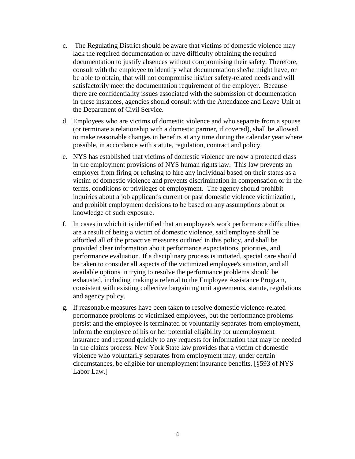- c. The Regulating District should be aware that victims of domestic violence may lack the required documentation or have difficulty obtaining the required documentation to justify absences without compromising their safety. Therefore, consult with the employee to identify what documentation she/he might have, or be able to obtain, that will not compromise his/her safety-related needs and will satisfactorily meet the documentation requirement of the employer. Because there are confidentiality issues associated with the submission of documentation in these instances, agencies should consult with the Attendance and Leave Unit at the Department of Civil Service.
- d. Employees who are victims of domestic violence and who separate from a spouse (or terminate a relationship with a domestic partner, if covered), shall be allowed to make reasonable changes in benefits at any time during the calendar year where possible, in accordance with statute, regulation, contract and policy.
- e. NYS has established that victims of domestic violence are now a protected class in the employment provisions of NYS human rights law. This law prevents an employer from firing or refusing to hire any individual based on their status as a victim of domestic violence and prevents discrimination in compensation or in the terms, conditions or privileges of employment. The agency should prohibit inquiries about a job applicant's current or past domestic violence victimization, and prohibit employment decisions to be based on any assumptions about or knowledge of such exposure.
- f. In cases in which it is identified that an employee's work performance difficulties are a result of being a victim of domestic violence, said employee shall be afforded all of the proactive measures outlined in this policy, and shall be provided clear information about performance expectations, priorities, and performance evaluation. If a disciplinary process is initiated, special care should be taken to consider all aspects of the victimized employee's situation, and all available options in trying to resolve the performance problems should be exhausted, including making a referral to the Employee Assistance Program, consistent with existing collective bargaining unit agreements, statute, regulations and agency policy.
- g. If reasonable measures have been taken to resolve domestic violence-related performance problems of victimized employees, but the performance problems persist and the employee is terminated or voluntarily separates from employment, inform the employee of his or her potential eligibility for unemployment insurance and respond quickly to any requests for information that may be needed in the claims process. New York State law provides that a victim of domestic violence who voluntarily separates from employment may, under certain circumstances, be eligible for unemployment insurance benefits. [§593 of NYS Labor Law.]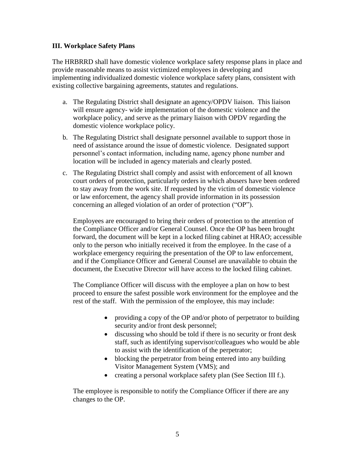#### **III. Workplace Safety Plans**

The HRBRRD shall have domestic violence workplace safety response plans in place and provide reasonable means to assist victimized employees in developing and implementing individualized domestic violence workplace safety plans, consistent with existing collective bargaining agreements, statutes and regulations.

- a. The Regulating District shall designate an agency/OPDV liaison. This liaison will ensure agency- wide implementation of the domestic violence and the workplace policy, and serve as the primary liaison with OPDV regarding the domestic violence workplace policy.
- b. The Regulating District shall designate personnel available to support those in need of assistance around the issue of domestic violence. Designated support personnel's contact information, including name, agency phone number and location will be included in agency materials and clearly posted.
- c. The Regulating District shall comply and assist with enforcement of all known court orders of protection, particularly orders in which abusers have been ordered to stay away from the work site. If requested by the victim of domestic violence or law enforcement, the agency shall provide information in its possession concerning an alleged violation of an order of protection ("OP").

Employees are encouraged to bring their orders of protection to the attention of the Compliance Officer and/or General Counsel. Once the OP has been brought forward, the document will be kept in a locked filing cabinet at HRAO; accessible only to the person who initially received it from the employee. In the case of a workplace emergency requiring the presentation of the OP to law enforcement, and if the Compliance Officer and General Counsel are unavailable to obtain the document, the Executive Director will have access to the locked filing cabinet.

The Compliance Officer will discuss with the employee a plan on how to best proceed to ensure the safest possible work environment for the employee and the rest of the staff. With the permission of the employee, this may include:

- providing a copy of the OP and/or photo of perpetrator to building security and/or front desk personnel;
- discussing who should be told if there is no security or front desk staff, such as identifying supervisor/colleagues who would be able to assist with the identification of the perpetrator;
- blocking the perpetrator from being entered into any building Visitor Management System (VMS); and
- creating a personal workplace safety plan (See Section III f.).

The employee is responsible to notify the Compliance Officer if there are any changes to the OP.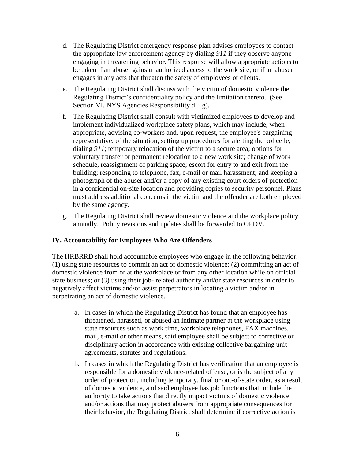- d. The Regulating District emergency response plan advises employees to contact the appropriate law enforcement agency by dialing *911* if they observe anyone engaging in threatening behavior. This response will allow appropriate actions to be taken if an abuser gains unauthorized access to the work site, or if an abuser engages in any acts that threaten the safety of employees or clients.
- e. The Regulating District shall discuss with the victim of domestic violence the Regulating District's confidentiality policy and the limitation thereto. (See Section VI. NYS Agencies Responsibility  $d - g$ ).
- f. The Regulating District shall consult with victimized employees to develop and implement individualized workplace safety plans, which may include, when appropriate, advising co-workers and, upon request, the employee's bargaining representative, of the situation; setting up procedures for alerting the police by dialing *911*; temporary relocation of the victim to a secure area; options for voluntary transfer or permanent relocation to a new work site; change of work schedule, reassignment of parking space; escort for entry to and exit from the building; responding to telephone, fax, e-mail or mail harassment; and keeping a photograph of the abuser and/or a copy of any existing court orders of protection in a confidential on-site location and providing copies to security personnel. Plans must address additional concerns if the victim and the offender are both employed by the same agency.
- g. The Regulating District shall review domestic violence and the workplace policy annually. Policy revisions and updates shall be forwarded to OPDV.

#### **IV. Accountability for Employees Who Are Offenders**

The HRBRRD shall hold accountable employees who engage in the following behavior: (1) using state resources to commit an act of domestic violence; (2) committing an act of domestic violence from or at the workplace or from any other location while on official state business; or (3) using their job- related authority and/or state resources in order to negatively affect victims and/or assist perpetrators in locating a victim and/or in perpetrating an act of domestic violence.

- a. In cases in which the Regulating District has found that an employee has threatened, harassed, or abused an intimate partner at the workplace using state resources such as work time, workplace telephones, FAX machines, mail, e-mail or other means, said employee shall be subject to corrective or disciplinary action in accordance with existing collective bargaining unit agreements, statutes and regulations.
- b. In cases in which the Regulating District has verification that an employee is responsible for a domestic violence-related offense, or is the subject of any order of protection, including temporary, final or out-of-state order, as a result of domestic violence, and said employee has job functions that include the authority to take actions that directly impact victims of domestic violence and/or actions that may protect abusers from appropriate consequences for their behavior, the Regulating District shall determine if corrective action is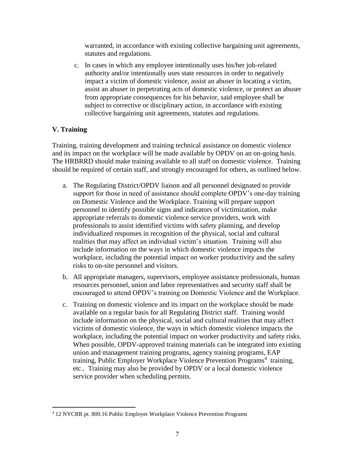warranted, in accordance with existing collective bargaining unit agreements, statutes and regulations.

c. In cases in which any employee intentionally uses his/her job-related authority and/or intentionally uses state resources in order to negatively impact a victim of domestic violence, assist an abuser in locating a victim, assist an abuser in perpetrating acts of domestic violence, or protect an abuser from appropriate consequences for his behavior, said employee shall be subject to corrective or disciplinary action, in accordance with existing collective bargaining unit agreements, statutes and regulations.

## **V. Training**

 $\overline{a}$ 

Training, training development and training technical assistance on domestic violence and its impact on the workplace will be made available by OPDV on an on-going basis. The HRBRRD should make training available to all staff on domestic violence. Training should be required of certain staff, and strongly encouraged for others, as outlined below.

- a. The Regulating District/OPDV liaison and all personnel designated to provide support for those in need of assistance should complete OPDV's one-day training on Domestic Violence and the Workplace. Training will prepare support personnel to identify possible signs and indicators of victimization, make appropriate referrals to domestic violence service providers, work with professionals to assist identified victims with safety planning, and develop individualized responses in recognition of the physical, social and cultural realities that may affect an individual victim's situation. Training will also include information on the ways in which domestic violence impacts the workplace, including the potential impact on worker productivity and the safety risks to on-site personnel and visitors.
- b. All appropriate managers, supervisors, employee assistance professionals, human resources personnel, union and labor representatives and security staff shall be encouraged to attend OPDV's training on Domestic Violence and the Workplace.
- c. Training on domestic violence and its impact on the workplace should be made available on a regular basis for all Regulating District staff. Training would include information on the physical, social and cultural realities that may affect victims of domestic violence, the ways in which domestic violence impacts the workplace, including the potential impact on worker productivity and safety risks. When possible, OPDV-approved training materials can be integrated into existing union and management training programs, agency training programs, EAP training, Public Employer Workplace Violence Prevention Programs 4 training, etc.. Training may also be provided by OPDV or a local domestic violence service provider when scheduling permits.

<sup>4</sup> 12 NYCRR pt. 800.16 Public Employer Workplace Violence Prevention Programs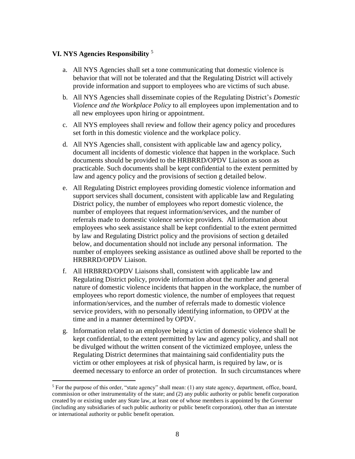#### **VI. NYS Agencies Responsibility** <sup>5</sup>

 $\overline{a}$ 

- a. All NYS Agencies shall set a tone communicating that domestic violence is behavior that will not be tolerated and that the Regulating District will actively provide information and support to employees who are victims of such abuse.
- b. All NYS Agencies shall disseminate copies of the Regulating District's *Domestic Violence and the Workplace Policy* to all employees upon implementation and to all new employees upon hiring or appointment.
- c. All NYS employees shall review and follow their agency policy and procedures set forth in this domestic violence and the workplace policy.
- d. All NYS Agencies shall, consistent with applicable law and agency policy, document all incidents of domestic violence that happen in the workplace. Such documents should be provided to the HRBRRD/OPDV Liaison as soon as practicable. Such documents shall be kept confidential to the extent permitted by law and agency policy and the provisions of section g detailed below.
- e. All Regulating District employees providing domestic violence information and support services shall document, consistent with applicable law and Regulating District policy, the number of employees who report domestic violence, the number of employees that request information/services, and the number of referrals made to domestic violence service providers. All information about employees who seek assistance shall be kept confidential to the extent permitted by law and Regulating District policy and the provisions of section g detailed below, and documentation should not include any personal information. The number of employees seeking assistance as outlined above shall be reported to the HRBRRD/OPDV Liaison.
- f. All HRBRRD/OPDV Liaisons shall, consistent with applicable law and Regulating District policy, provide information about the number and general nature of domestic violence incidents that happen in the workplace, the number of employees who report domestic violence, the number of employees that request information/services, and the number of referrals made to domestic violence service providers, with no personally identifying information, to OPDV at the time and in a manner determined by OPDV.
- g. Information related to an employee being a victim of domestic violence shall be kept confidential, to the extent permitted by law and agency policy, and shall not be divulged without the written consent of the victimized employee, unless the Regulating District determines that maintaining said confidentiality puts the victim or other employees at risk of physical harm, is required by law, or is deemed necessary to enforce an order of protection. In such circumstances where

<sup>&</sup>lt;sup>5</sup> For the purpose of this order, "state agency" shall mean: (1) any state agency, department, office, board, commission or other instrumentality of the state; and (2) any public authority or public benefit corporation created by or existing under any State law, at least one of whose members is appointed by the Governor (including any subsidiaries of such public authority or public benefit corporation), other than an interstate or international authority or public benefit operation.